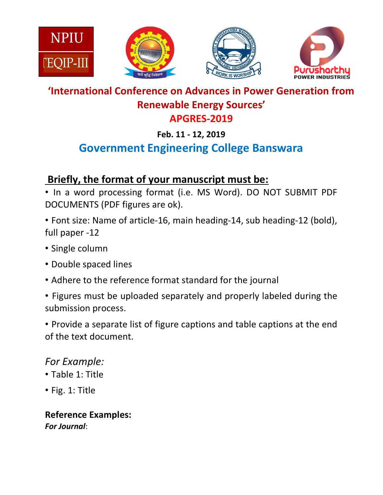







## 'International Conference on Advances in Power Generation from Renewable Energy Sources' APGRES-2019

## Feb. 11 - 12, 2019

# Government Engineering College Banswara

# Briefly, the format of your manuscript must be:

• In a word processing format (i.e. MS Word). DO NOT SUBMIT PDF DOCUMENTS (PDF figures are ok).

• Font size: Name of article-16, main heading-14, sub heading-12 (bold), full paper -12

- Single column
- Double spaced lines
- Adhere to the reference format standard for the journal
- Figures must be uploaded separately and properly labeled during the submission process.

• Provide a separate list of figure captions and table captions at the end of the text document.

# For Example:

- Table 1: Title
- Fig. 1: Title

Reference Examples: For Journal: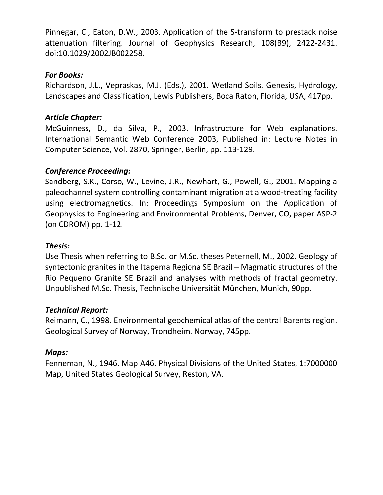Pinnegar, C., Eaton, D.W., 2003. Application of the S-transform to prestack noise attenuation filtering. Journal of Geophysics Research, 108(B9), 2422-2431. doi:10.1029/2002JB002258.

#### For Books:

Richardson, J.L., Vepraskas, M.J. (Eds.), 2001. Wetland Soils. Genesis, Hydrology, Landscapes and Classification, Lewis Publishers, Boca Raton, Florida, USA, 417pp.

#### Article Chapter:

McGuinness, D., da Silva, P., 2003. Infrastructure for Web explanations. International Semantic Web Conference 2003, Published in: Lecture Notes in Computer Science, Vol. 2870, Springer, Berlin, pp. 113-129.

#### Conference Proceeding:

Sandberg, S.K., Corso, W., Levine, J.R., Newhart, G., Powell, G., 2001. Mapping a paleochannel system controlling contaminant migration at a wood-treating facility using electromagnetics. In: Proceedings Symposium on the Application of Geophysics to Engineering and Environmental Problems, Denver, CO, paper ASP-2 (on CDROM) pp. 1-12.

#### Thesis:

Use Thesis when referring to B.Sc. or M.Sc. theses Peternell, M., 2002. Geology of syntectonic granites in the Itapema Regiona SE Brazil – Magmatic structures of the Rio Pequeno Granite SE Brazil and analyses with methods of fractal geometry. Unpublished M.Sc. Thesis, Technische Universität München, Munich, 90pp.

#### Technical Report:

Reimann, C., 1998. Environmental geochemical atlas of the central Barents region. Geological Survey of Norway, Trondheim, Norway, 745pp.

#### Maps:

Fenneman, N., 1946. Map A46. Physical Divisions of the United States, 1:7000000 Map, United States Geological Survey, Reston, VA.